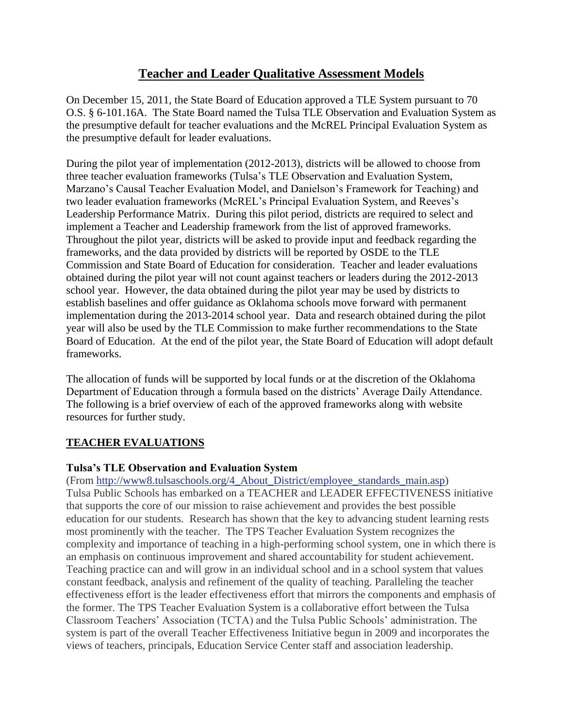# **Teacher and Leader Qualitative Assessment Models**

On December 15, 2011, the State Board of Education approved a TLE System pursuant to 70 O.S. § 6-101.16A. The State Board named the Tulsa TLE Observation and Evaluation System as the presumptive default for teacher evaluations and the McREL Principal Evaluation System as the presumptive default for leader evaluations.

During the pilot year of implementation (2012-2013), districts will be allowed to choose from three teacher evaluation frameworks (Tulsa's TLE Observation and Evaluation System, Marzano's Causal Teacher Evaluation Model, and Danielson's Framework for Teaching) and two leader evaluation frameworks (McREL's Principal Evaluation System, and Reeves's Leadership Performance Matrix. During this pilot period, districts are required to select and implement a Teacher and Leadership framework from the list of approved frameworks. Throughout the pilot year, districts will be asked to provide input and feedback regarding the frameworks, and the data provided by districts will be reported by OSDE to the TLE Commission and State Board of Education for consideration. Teacher and leader evaluations obtained during the pilot year will not count against teachers or leaders during the 2012-2013 school year. However, the data obtained during the pilot year may be used by districts to establish baselines and offer guidance as Oklahoma schools move forward with permanent implementation during the 2013-2014 school year. Data and research obtained during the pilot year will also be used by the TLE Commission to make further recommendations to the State Board of Education. At the end of the pilot year, the State Board of Education will adopt default frameworks.

The allocation of funds will be supported by local funds or at the discretion of the Oklahoma Department of Education through a formula based on the districts' Average Daily Attendance. The following is a brief overview of each of the approved frameworks along with website resources for further study.

# **TEACHER EVALUATIONS**

# **Tulsa's TLE Observation and Evaluation System**

(From [http://www8.tulsaschools.org/4\\_About\\_District/employee\\_standards\\_main.asp\)](http://www8.tulsaschools.org/4_About_District/employee_standards_main.asp) Tulsa Public Schools has embarked on a TEACHER and LEADER EFFECTIVENESS initiative that supports the core of our mission to raise achievement and provides the best possible education for our students. Research has shown that the key to advancing student learning rests most prominently with the teacher. The TPS Teacher Evaluation System recognizes the complexity and importance of teaching in a high-performing school system, one in which there is an emphasis on continuous improvement and shared accountability for student achievement. Teaching practice can and will grow in an individual school and in a school system that values constant feedback, analysis and refinement of the quality of teaching. Paralleling the teacher effectiveness effort is the leader effectiveness effort that mirrors the components and emphasis of the former. The TPS Teacher Evaluation System is a collaborative effort between the Tulsa Classroom Teachers' Association (TCTA) and the Tulsa Public Schools' administration. The system is part of the overall Teacher Effectiveness Initiative begun in 2009 and incorporates the views of teachers, principals, Education Service Center staff and association leadership.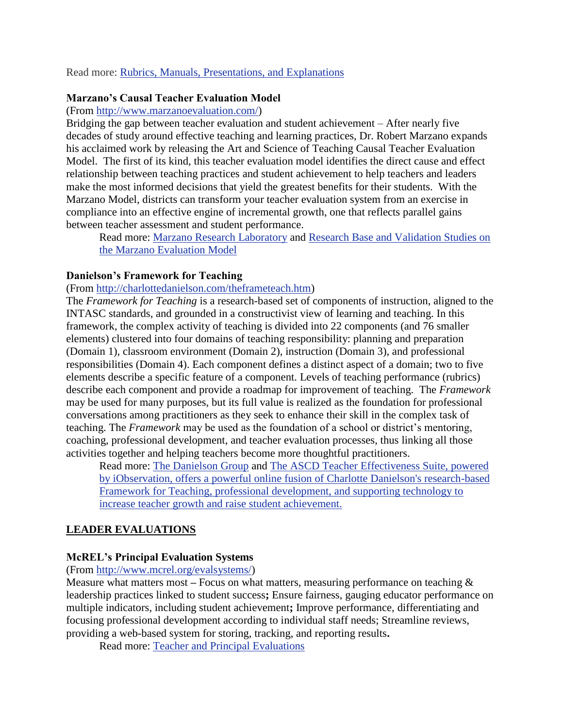#### Read more: [Rubrics, Manuals, Presentations, and Explanations](http://www8.tulsaschools.org/4_About_District/employee_standards_main.asp)

#### **Marzano's Causal Teacher Evaluation Model**

(From [http://www.marzanoevaluation.com/\)](http://www.marzanoevaluation.com/)

Bridging the gap between teacher evaluation and student achievement – After nearly five decades of study around effective teaching and learning practices, Dr. Robert Marzano expands his acclaimed work by releasing the Art and Science of Teaching Causal Teacher Evaluation Model. The first of its kind, this teacher evaluation model identifies the direct cause and effect relationship between teaching practices and student achievement to help teachers and leaders make the most informed decisions that yield the greatest benefits for their students. With the Marzano Model, districts can transform your teacher evaluation system from an exercise in compliance into an effective engine of incremental growth, one that reflects parallel gains between teacher assessment and student performance.

Read more: [Marzano Research Laboratory](http://www.marzanoresearch.com/products/catalog.aspx?group=91) and [Research Base and Validation Studies on](http://marzanoevaluation.com/files/Research_Base_and_Validation_Studies_Marzano_Evaluation_Model.pdf)  [the Marzano Evaluation Model](http://marzanoevaluation.com/files/Research_Base_and_Validation_Studies_Marzano_Evaluation_Model.pdf)

#### **Danielson's Framework for Teaching**

(From [http://charlottedanielson.com/theframeteach.htm\)](http://charlottedanielson.com/theframeteach.htm)

The *Framework for Teaching* is a research-based set of components of instruction, aligned to the INTASC standards, and grounded in a constructivist view of learning and teaching. In this framework, the complex activity of teaching is divided into 22 components (and 76 smaller elements) clustered into four domains of teaching responsibility: planning and preparation (Domain 1), classroom environment (Domain 2), instruction (Domain 3), and professional responsibilities (Domain 4). Each component defines a distinct aspect of a domain; two to five elements describe a specific feature of a component. Levels of teaching performance (rubrics) describe each component and provide a roadmap for improvement of teaching. The *Framework*  may be used for many purposes, but its full value is realized as the foundation for professional conversations among practitioners as they seek to enhance their skill in the complex task of teaching. The *Framework* may be used as the foundation of a school or district's mentoring, coaching, professional development, and teacher evaluation processes, thus linking all those activities together and helping teachers become more thoughtful practitioners.

Read more: [The Danielson Group](http://charlottedanielson.com/theframeteach.htm) and [The ASCD Teacher Effectiveness Suite, powered](http://www.ascd.org/professional-development/teacher-effectiveness-suite.aspx)  [by iObservation, offers a powerful online fusion of Charlotte Danielson's research-based](http://www.ascd.org/professional-development/teacher-effectiveness-suite.aspx)  [Framework for Teaching, professional development, and supporting technology to](http://www.ascd.org/professional-development/teacher-effectiveness-suite.aspx)  [increase teacher growth and raise student achievement.](http://www.ascd.org/professional-development/teacher-effectiveness-suite.aspx)

#### **LEADER EVALUATIONS**

## **McREL's Principal Evaluation Systems**

(From [http://www.mcrel.org/evalsystems/\)](http://www.mcrel.org/evalsystems/)

Measure what matters most **–** Focus on what matters, measuring performance on teaching & leadership practices linked to student success**;** Ensure fairness, gauging educator performance on multiple indicators, including student achievement**;** Improve performance, differentiating and focusing professional development according to individual staff needs; Streamline reviews, providing a web-based system for storing, tracking, and reporting results**.** 

Read more: [Teacher and Principal Evaluations](http://www.mcrel.org/evalsystems/index.asp)